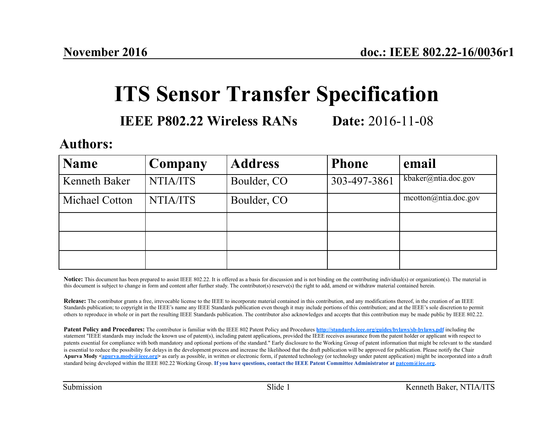## **ITS Sensor Transfer Specification**

#### **IEEE P802.22 Wireless RANs Date:** 2016-11-08

#### **Authors:**

| <b>Name</b>          | Company  | <b>Address</b> | <b>Phone</b> | email                |
|----------------------|----------|----------------|--------------|----------------------|
| <b>Kenneth Baker</b> | NTIA/ITS | Boulder, CO    | 303-497-3861 | kbaker@ntia.doc.gov  |
| Michael Cotton       | NTIA/ITS | Boulder, CO    |              | meotton@ntia.doc.gov |
|                      |          |                |              |                      |
|                      |          |                |              |                      |
|                      |          |                |              |                      |

Notice: This document has been prepared to assist IEEE 802.22. It is offered as a basis for discussion and is not binding on the contributing individual(s) or organization(s). The material in this document is subject to change in form and content after further study. The contributor(s) reserve(s) the right to add, amend or withdraw material contained herein.

**Release:** The contributor grants a free, irrevocable license to the IEEE to incorporate material contained in this contribution, and any modifications thereof, in the creation of an IEEE Standards publication; to copyright in the IEEE's name any IEEE Standards publication even though it may include portions of this contribution; and at the IEEE's sole discretion to permit others to reproduce in whole or in part the resulting IEEE Standards publication. The contributor also acknowledges and accepts that this contribution may be made public by IEEE 802.22.

**Patent Policy and Procedures:** The contributor is familiar with the IEEE 802 Patent Policy and Procedures **http://standards.ieee.org/guides/bylaws/sb-bylaws.pdf** including the statement "IEEE standards may include the known use of patent(s), including patent applications, provided the IEEE receives assurance from the patent holder or applicant with respect to patents essential for compliance with both mandatory and optional portions of the standard." Early disclosure to the Working Group of patent information that might be relevant to the standard is essential to reduce the possibility for delays in the development process and increase the likelihood that the draft publication will be approved for publication. Please notify the Chair Apurva Mody <apurva.mody@ieee.org> as early as possible, in written or electronic form, if patented technology (or technology under patent application) might be incorporated into a draft standard being developed within the IEEE 802.22 Working Group. **If you have questions, contact the IEEE Patent Committee Administrator at patcom@iee.org.**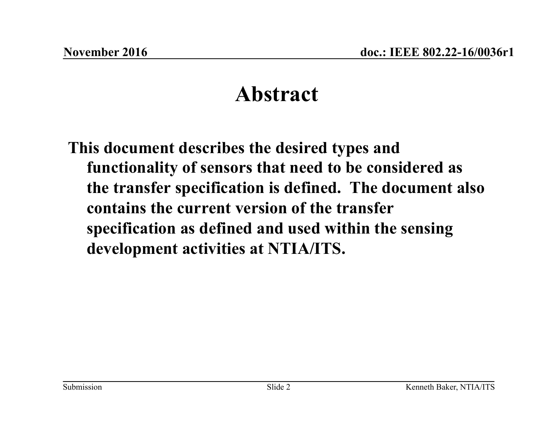## **Abstract**

**This document describes the desired types and functionality of sensors that need to be considered as the transfer specification is defined. The document also contains the current version of the transfer specification as defined and used within the sensing development activities at NTIA/ITS.**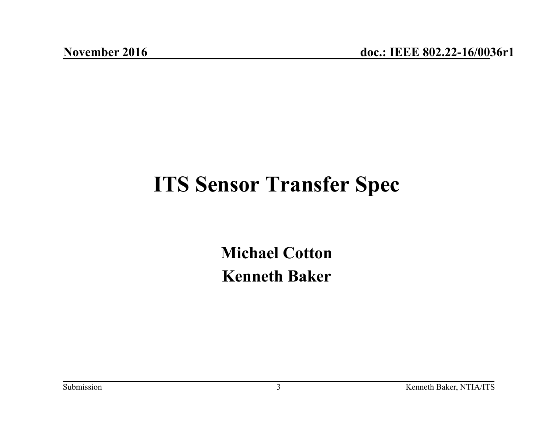## **ITS Sensor Transfer Spec**

**Michael Cotton Kenneth Baker**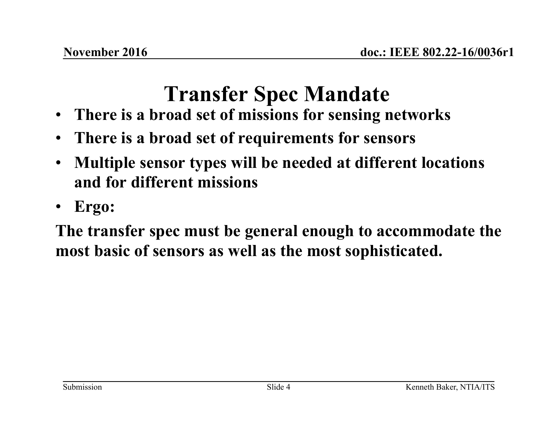# **Transfer Spec Mandate**

- **There is a broad set of missions for sensing networks**
- **There is a broad set of requirements for sensors**
- **Multiple sensor types will be needed at different locations and for different missions**
- **Ergo:**

**The transfer spec must be general enough to accommodate the most basic of sensors as well as the most sophisticated.**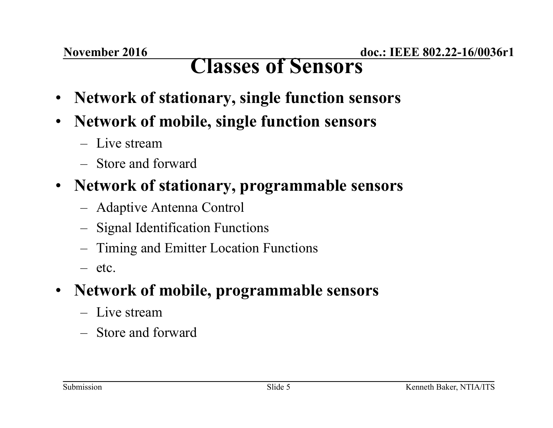### **Classes of Sensors**

- **Network of stationary, single function sensors**
- **Network of mobile, single function sensors** 
	- Live stream
	- Store and forward
- **Network of stationary, programmable sensors** 
	- Adaptive Antenna Control
	- Signal Identification Functions
	- Timing and Emitter Location Functions
	- etc.

#### • **Network of mobile, programmable sensors**

- Live stream
- Store and forward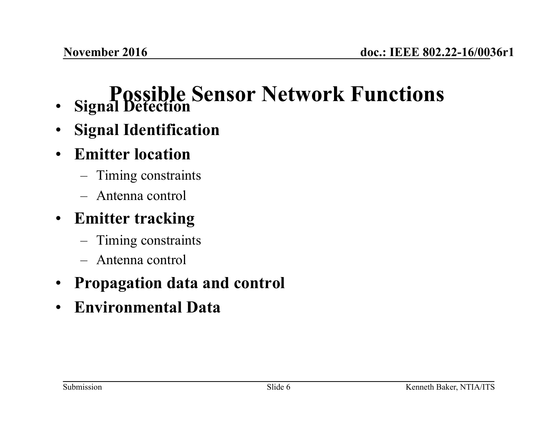#### **Possible Sensor Network Functions**  • **Signal Detection**

- **Signal Identification**
- **Emitter location** 
	- Timing constraints
	- Antenna control

#### • **Emitter tracking**

- Timing constraints
- Antenna control
- **Propagation data and control**
- **Environmental Data**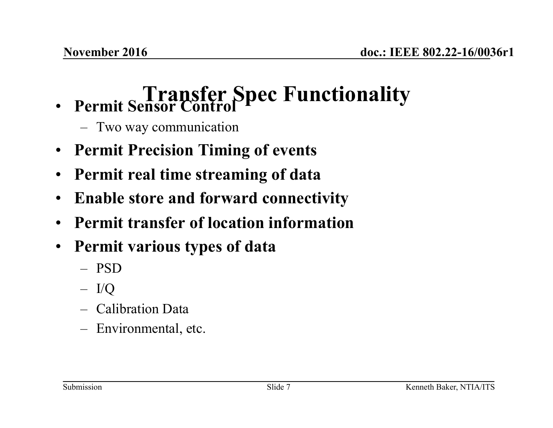# **Transfer Spec Functionality** • **Permit Sensor Control**

- Two way communication
- **Permit Precision Timing of events**
- **Permit real time streaming of data**
- **Enable store and forward connectivity**
- **Permit transfer of location information**
- **Permit various types of data** 
	- PSD
	- I/Q
	- Calibration Data
	- Environmental, etc.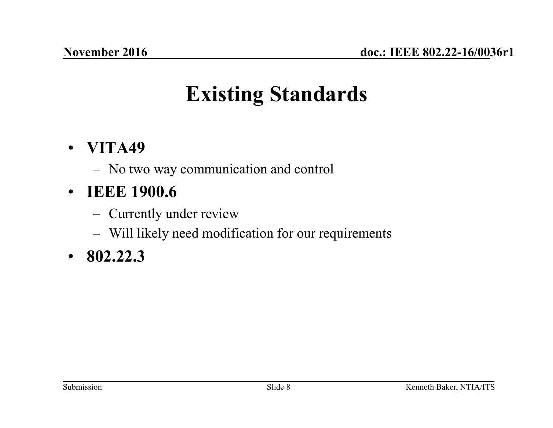# **Existing Standards**

#### • **VITA49**

– No two way communication and control

#### • **IEEE 1900.6**

- Currently under review
- Will likely need modification for our requirements

#### • **802.22.3**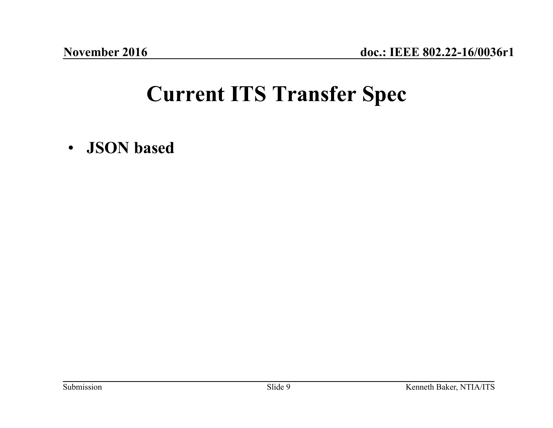## **Current ITS Transfer Spec**

• **JSON based**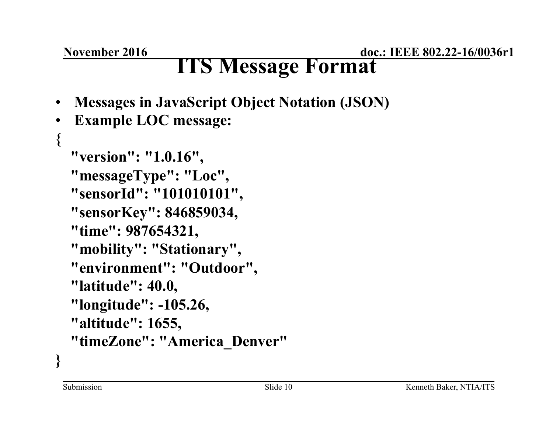#### **November 2016**

**doc.: IEEE 802.22-16/0036r1** 

## **ITS Message Format**

- **Messages in JavaScript Object Notation (JSON)**
- **Example LOC message:**

```
{ 
   "version": "1.0.16", 
   "messageType": "Loc", 
   "sensorId": "101010101", 
   "sensorKey": 846859034, 
   "time": 987654321, 
   "mobility": "Stationary", 
   "environment": "Outdoor", 
   "latitude": 40.0, 
   "longitude": -105.26, 
   "altitude": 1655, 
   "timeZone": "America_Denver" 
}
```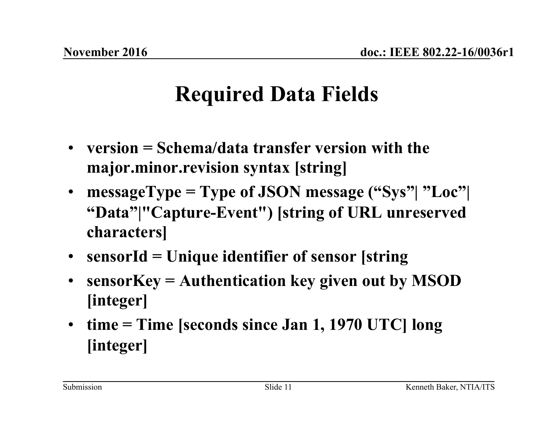# **Required Data Fields**

- **version = Schema/data transfer version with the major.minor.revision syntax [string]**
- **messageType = Type of JSON message ("Sys"| "Loc"| "Data"|"Capture-Event") [string of URL unreserved characters]**
- **sensorId = Unique identifier of sensor [string**
- **sensorKey = Authentication key given out by MSOD [integer]**
- **time = Time [seconds since Jan 1, 1970 UTC] long [integer]**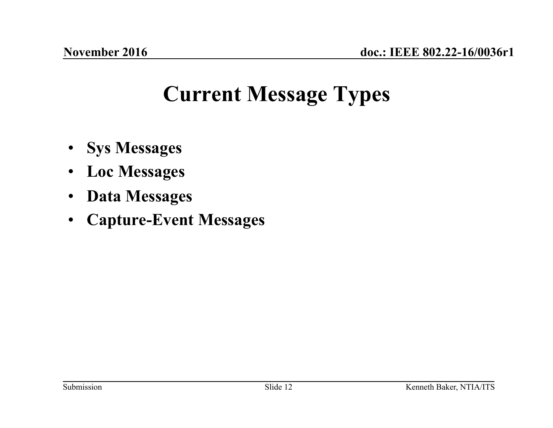## **Current Message Types**

- **Sys Messages**
- **Loc Messages**
- **Data Messages**
- **Capture-Event Messages**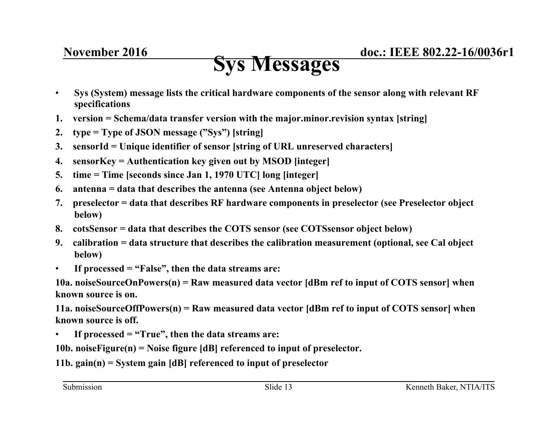### **Sys Messages**

- **Sys (System) message lists the critical hardware components of the sensor along with relevant RF specifications**
- **1. version = Schema/data transfer version with the major.minor.revision syntax [string]**
- **2. type = Type of JSON message ("Sys") [string]**
- **3. sensorId = Unique identifier of sensor [string of URL unreserved characters]**
- **4. sensorKey = Authentication key given out by MSOD [integer]**
- **5. time = Time [seconds since Jan 1, 1970 UTC] long [integer]**
- **6. antenna = data that describes the antenna (see Antenna object below)**
- **7. preselector = data that describes RF hardware components in preselector (see Preselector object below)**
- **8. cotsSensor = data that describes the COTS sensor (see COTSsensor object below)**
- **9. calibration = data structure that describes the calibration measurement (optional, see Cal object below)**
- **If processed = "False", then the data streams are:**

**10a. noiseSourceOnPowers(n) = Raw measured data vector [dBm ref to input of COTS sensor] when known source is on.** 

**11a. noiseSourceOffPowers(n) = Raw measured data vector [dBm ref to input of COTS sensor] when known source is off.** 

• **If processed = "True", then the data streams are:** 

**10b. noiseFigure(n) = Noise figure [dB] referenced to input of preselector.** 

**11b. gain(n) = System gain [dB] referenced to input of preselector**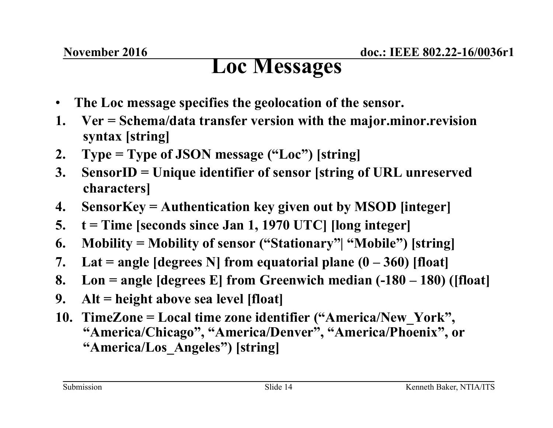### **Loc Messages**

- **The Loc message specifies the geolocation of the sensor.**
- **1. Ver = Schema/data transfer version with the major.minor.revision syntax [string]**
- **2. Type = Type of JSON message ("Loc") [string]**
- **3. SensorID = Unique identifier of sensor [string of URL unreserved characters]**
- **4. SensorKey = Authentication key given out by MSOD [integer]**
- **5. t = Time [seconds since Jan 1, 1970 UTC] [long integer]**
- **6. Mobility = Mobility of sensor ("Stationary"| "Mobile") [string]**
- **7. Lat = angle [degrees N] from equatorial plane (0 360) [float]**
- **8. Lon = angle [degrees E] from Greenwich median (-180 180) ([float]**
- **9. Alt = height above sea level [float]**
- **10. TimeZone = Local time zone identifier ("America/New\_York", "America/Chicago", "America/Denver", "America/Phoenix", or "America/Los\_Angeles") [string]**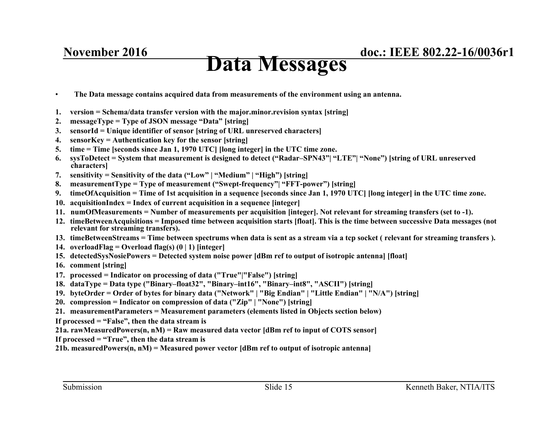#### **November 2016**

### **Data Messages**

- **The Data message contains acquired data from measurements of the environment using an antenna.**
- **1. version = Schema/data transfer version with the major.minor.revision syntax [string]**
- **2. messageType = Type of JSON message "Data" [string]**
- **3. sensorId = Unique identifier of sensor [string of URL unreserved characters]**
- **4. sensorKey = Authentication key for the sensor [string]**
- **5. time = Time [seconds since Jan 1, 1970 UTC] [long integer] in the UTC time zone.**
- **6. sysToDetect = System that measurement is designed to detect ("Radar–SPN43"| "LTE"| "None") [string of URL unreserved characters]**
- **7. sensitivity = Sensitivity of the data ("Low" | "Medium" | "High") [string]**
- **8. measurementType = Type of measurement ("Swept-frequency"| "FFT-power") [string]**
- **9. timeOfAcquisition = Time of 1st acquisition in a sequence [seconds since Jan 1, 1970 UTC] [long integer] in the UTC time zone.**
- **10. acquisitionIndex = Index of current acquisition in a sequence [integer]**
- **11. numOfMeasurements = Number of measurements per acquisition [integer]. Not relevant for streaming transfers (set to -1).**
- **12. timeBetweenAcquisitions = Imposed time between acquisition starts [float]. This is the time between successive Data messages (not relevant for streaming transfers).**
- **13. timeBetweenStreams = Time between spectrums when data is sent as a stream via a tcp socket ( relevant for streaming transfers ).**
- **14. overloadFlag = Overload flag(s) (0 | 1) [integer]**
- **15. detectedSysNosiePowers = Detected system noise power [dBm ref to output of isotropic antenna] [float]**
- **16. comment [string]**
- **17. processed = Indicator on processing of data ("True"|"False") [string]**
- **18. dataType = Data type ("Binary–float32", "Binary–int16", "Binary–int8", "ASCII") [string]**
- **19. byteOrder = Order of bytes for binary data ("Network" | "Big Endian" | "Little Endian" | "N/A") [string]**
- **20. compression = Indicator on compression of data ("Zip" | "None") [string]**
- **21. measurementParameters = Measurement parameters (elements listed in Objects section below)**
- **If processed = "False", then the data stream is**
- **21a. rawMeasuredPowers(n, nM) = Raw measured data vector [dBm ref to input of COTS sensor]**
- **If processed = "True", then the data stream is**
- **21b. measuredPowers(n, nM) = Measured power vector [dBm ref to output of isotropic antenna]**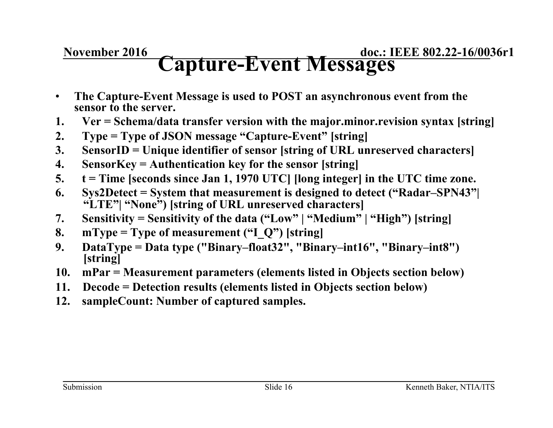#### **November 2016**

**doc.: IEEE 802.22-16/0036r1 Capture-Event Messages** 

- **The Capture-Event Message is used to POST an asynchronous event from the sensor to the server.**
- **1. Ver = Schema/data transfer version with the major.minor.revision syntax [string]**
- **2. Type = Type of JSON message "Capture-Event" [string]**
- **3. SensorID = Unique identifier of sensor [string of URL unreserved characters]**
- **4. SensorKey = Authentication key for the sensor [string]**
- **5. t = Time [seconds since Jan 1, 1970 UTC] [long integer] in the UTC time zone.**
- **6. Sys2Detect = System that measurement is designed to detect ("Radar–SPN43"| "LTE"| "None") [string of URL unreserved characters]**
- **7. Sensitivity = Sensitivity of the data ("Low" | "Medium" | "High") [string]**
- **8. mType = Type of measurement ("I\_Q") [string]**
- **9. DataType = Data type ("Binary–float32", "Binary–int16", "Binary–int8") [string]**
- **10. mPar = Measurement parameters (elements listed in Objects section below)**
- **11. Decode = Detection results (elements listed in Objects section below)**
- **12. sampleCount: Number of captured samples.**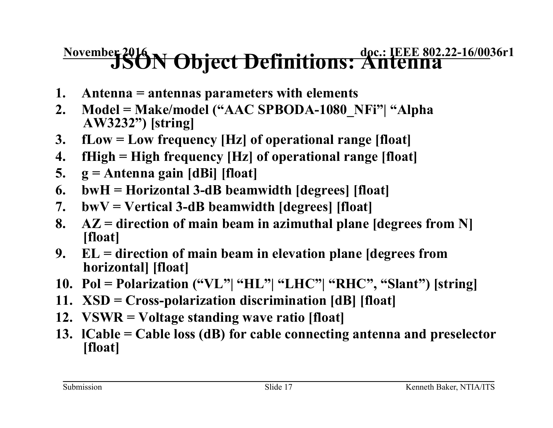# **November 2016 N Object Definitions: Antenna**

- **1. Antenna = antennas parameters with elements**
- **2. Model = Make/model ("AAC SPBODA-1080\_NFi"| "Alpha AW3232") [string]**
- **3. fLow = Low frequency [Hz] of operational range [float]**
- **4. fHigh = High frequency [Hz] of operational range [float]**
- **5. g = Antenna gain [dBi] [float]**
- **6. bwH = Horizontal 3-dB beamwidth [degrees] [float]**
- **7. bwV = Vertical 3-dB beamwidth [degrees] [float]**
- **8. AZ = direction of main beam in azimuthal plane [degrees from N] [float]**
- **9. EL = direction of main beam in elevation plane [degrees from horizontal] [float]**
- **10. Pol = Polarization ("VL"| "HL"| "LHC"| "RHC", "Slant") [string]**
- **11. XSD = Cross-polarization discrimination [dB] [float]**
- **12. VSWR = Voltage standing wave ratio [float]**
- **13. lCable = Cable loss (dB) for cable connecting antenna and preselector [float]**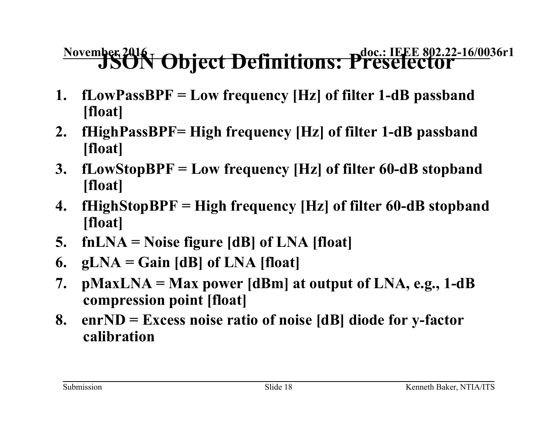# **November 2016 | Object Definitions: Preselector**

- **1. fLowPassBPF = Low frequency [Hz] of filter 1-dB passband [float]**
- **2. fHighPassBPF= High frequency [Hz] of filter 1-dB passband [float]**
- **3. fLowStopBPF = Low frequency [Hz] of filter 60-dB stopband [float]**
- **4. fHighStopBPF = High frequency [Hz] of filter 60-dB stopband [float]**
- **5. fnLNA = Noise figure [dB] of LNA [float]**
- **6. gLNA = Gain [dB] of LNA [float]**
- **7. pMaxLNA = Max power [dBm] at output of LNA, e.g., 1-dB compression point [float]**
- **8. enrND = Excess noise ratio of noise [dB] diode for y-factor calibration**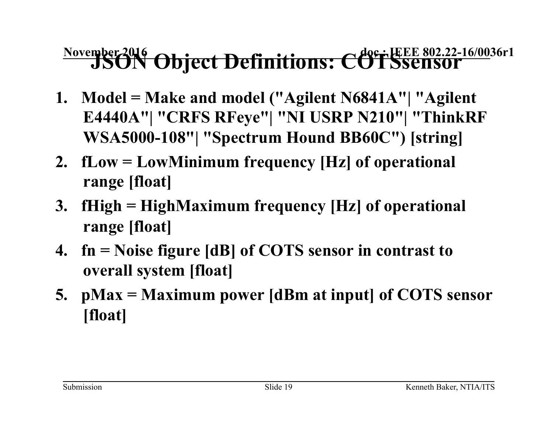# **November 2016 Object Definitions: COTSsensor**

- **1. Model = Make and model ("Agilent N6841A"| "Agilent E4440A"| "CRFS RFeye"| "NI USRP N210"| "ThinkRF WSA5000-108"| "Spectrum Hound BB60C") [string]**
- **2. fLow = LowMinimum frequency [Hz] of operational range [float]**
- **3. fHigh = HighMaximum frequency [Hz] of operational range [float]**
- **4. fn = Noise figure [dB] of COTS sensor in contrast to overall system [float]**
- **5. pMax = Maximum power [dBm at input] of COTS sensor [float]**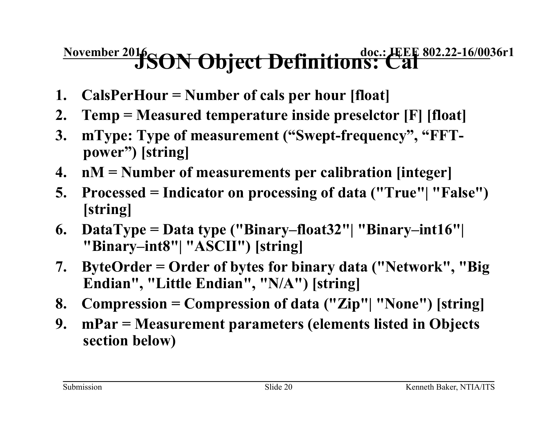# **November 2016 SON Object Definitions: Cal**

- **1. CalsPerHour = Number of cals per hour [float]**
- **2. Temp = Measured temperature inside preselctor [F] [float]**
- **3. mType: Type of measurement ("Swept-frequency", "FFTpower") [string]**
- **4. nM = Number of measurements per calibration [integer]**
- **5. Processed = Indicator on processing of data ("True"| "False") [string]**
- **6. DataType = Data type ("Binary–float32"| "Binary–int16"| "Binary–int8"| "ASCII") [string]**
- **7. ByteOrder = Order of bytes for binary data ("Network", "Big Endian", "Little Endian", "N/A") [string]**
- **8. Compression = Compression of data ("Zip"| "None") [string]**
- **9. mPar = Measurement parameters (elements listed in Objects section below)**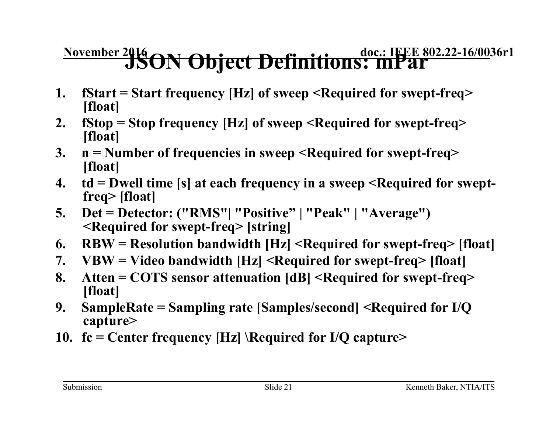# **November 2016 ON Object Definitions: mPar**

- **1. fStart = Start frequency [Hz] of sweep <Required for swept-freq> [float]**
- **2. fStop = Stop frequency [Hz] of sweep <Required for swept-freq> [float]**
- **3. n = Number of frequencies in sweep <Required for swept-freq> [float]**
- **4. td = Dwell time [s] at each frequency in a sweep <Required for sweptfreq> [float]**
- **5. Det = Detector: ("RMS"| "Positive" | "Peak" | "Average") <Required for swept-freq> [string]**
- **6. RBW = Resolution bandwidth [Hz] <Required for swept-freq> [float]**
- **7. VBW = Video bandwidth [Hz] <Required for swept-freq> [float]**
- **8. Atten = COTS sensor attenuation [dB] <Required for swept-freq> [float]**
- **9. SampleRate = Sampling rate [Samples/second] <Required for I/Q capture>**
- **10. fc = Center frequency [Hz] \Required for I/Q capture>**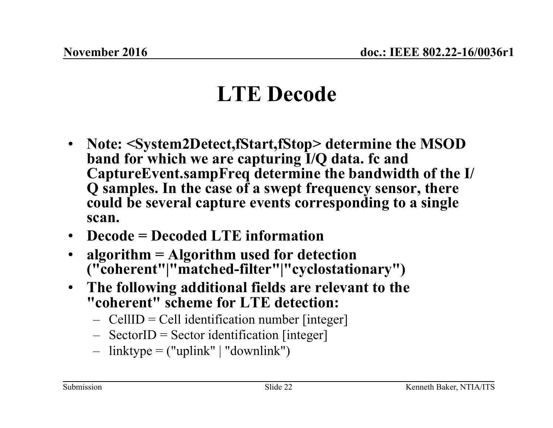# **LTE Decode**

- **Note: <System2Detect,fStart,fStop> determine the MSOD band for which we are capturing I/Q data. fc and CaptureEvent.sampFreq determine the bandwidth of the I/ Q samples. In the case of a swept frequency sensor, there could be several capture events corresponding to a single scan.**
- **Decode = Decoded LTE information**
- **algorithm = Algorithm used for detection ("coherent"|"matched-filter"|"cyclostationary")**
- **The following additional fields are relevant to the "coherent" scheme for LTE detection:** 
	- $-$  CellID = Cell identification number [integer]
	- $-$  SectorID = Sector identification [integer]
	- $-$  linktype = ("uplink" | "downlink")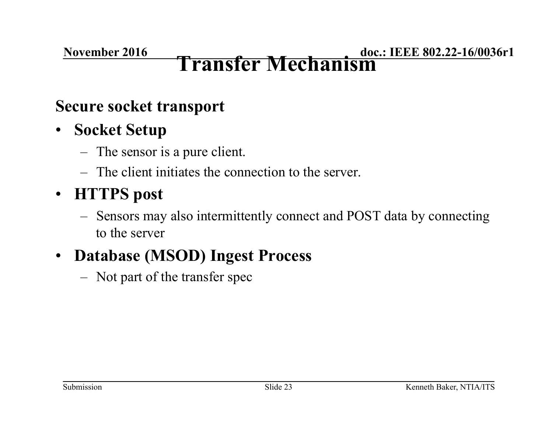#### **November 2016**

#### **doc.: IEEE 802.22-16/0036r1 Transfer Mechanism**

#### **Secure socket transport**

#### • **Socket Setup**

- The sensor is a pure client.
- The client initiates the connection to the server.

### • **HTTPS post**

– Sensors may also intermittently connect and POST data by connecting to the server

### • **Database (MSOD) Ingest Process**

– Not part of the transfer spec